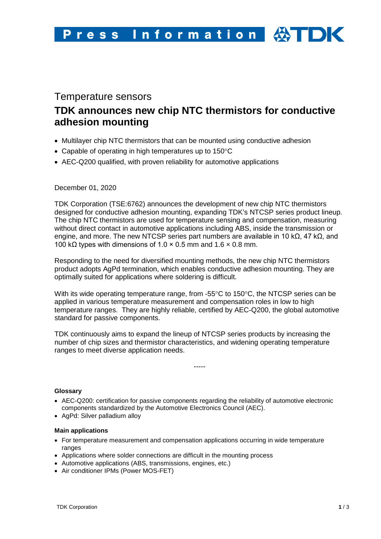# Temperature sensors

# **TDK announces new chip NTC thermistors for conductive adhesion mounting**

- Multilayer chip NTC thermistors that can be mounted using conductive adhesion
- Capable of operating in high temperatures up to 150°C
- AEC-Q200 qualified, with proven reliability for automotive applications

# December 01, 2020

TDK Corporation (TSE:6762) announces the development of new chip NTC thermistors designed for conductive adhesion mounting, expanding TDK's NTCSP series product lineup. The chip NTC thermistors are used for temperature sensing and compensation, measuring without direct contact in automotive applications including ABS, inside the transmission or engine, and more. The new NTCSP series part numbers are available in 10 kΩ, 47 kΩ, and 100 kΩ types with dimensions of 1.0  $\times$  0.5 mm and 1.6  $\times$  0.8 mm.

Responding to the need for diversified mounting methods, the new chip NTC thermistors product adopts AgPd termination, which enables conductive adhesion mounting. They are optimally suited for applications where soldering is difficult.

With its wide operating temperature range, from -55°C to 150°C, the NTCSP series can be applied in various temperature measurement and compensation roles in low to high temperature ranges. They are highly reliable, certified by AEC-Q200, the global automotive standard for passive components.

TDK continuously aims to expand the lineup of NTCSP series products by increasing the number of chip sizes and thermistor characteristics, and widening operating temperature ranges to meet diverse application needs.

-----

## **Glossary**

- AEC-Q200: certification for passive components regarding the reliability of automotive electronic components standardized by the Automotive Electronics Council (AEC).
- AgPd: Silver palladium alloy

#### **Main applications**

- For temperature measurement and compensation applications occurring in wide temperature ranges
- Applications where solder connections are difficult in the mounting process
- Automotive applications (ABS, transmissions, engines, etc.)
- Air conditioner IPMs (Power MOS-FET)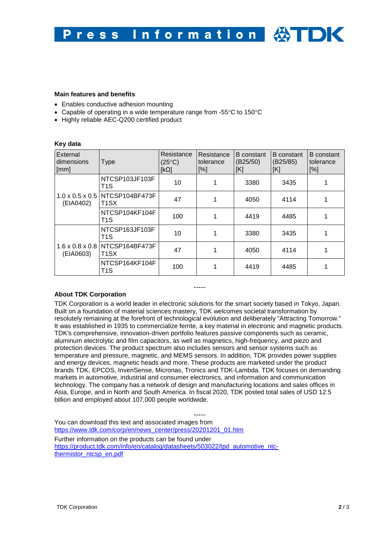#### **Main features and benefits**

- Enables conductive adhesion mounting
- Capable of operating in a wide temperature range from -55°C to 150°C
- Highly reliable AEC-Q200 certified product

#### **Key data**

| External<br>dimensions<br>[mm]           | <b>Type</b>                         | Resistance<br>$(25^{\circ}C)$<br>$[k\Omega]$ | Resistance<br>tolerance<br>[%] | <b>B</b> constant<br>(B25/50)<br>[K] | <b>B</b> constant<br>(B25/85)<br>[K] | <b>B</b> constant<br>tolerance<br>[%] |
|------------------------------------------|-------------------------------------|----------------------------------------------|--------------------------------|--------------------------------------|--------------------------------------|---------------------------------------|
| $1.0 \times 0.5 \times 0.5$<br>(EIA0402) | NTCSP103JF103F<br>T <sub>1</sub> S  | 10                                           |                                | 3380                                 | 3435                                 |                                       |
|                                          | NTCSP104BF473F<br>T <sub>1</sub> SX | 47                                           |                                | 4050                                 | 4114                                 |                                       |
|                                          | NTCSP104KF104F<br>T <sub>1</sub> S  | 100                                          |                                | 4419                                 | 4485                                 |                                       |
| $1.6 \times 0.8 \times 0.8$<br>(EIA0603) | NTCSP163JF103F<br>T <sub>1</sub> S  | 10                                           |                                | 3380                                 | 3435                                 |                                       |
|                                          | NTCSP164BF473F<br>T1SX              | 47                                           |                                | 4050                                 | 4114                                 |                                       |
|                                          | NTCSP164KF104F<br>T <sub>1</sub> S  | 100                                          |                                | 4419                                 | 4485                                 |                                       |

## **About TDK Corporation**

TDK Corporation is a world leader in electronic solutions for the smart society based in Tokyo, Japan. Built on a foundation of material sciences mastery, TDK welcomes societal transformation by resolutely remaining at the forefront of technological evolution and deliberately "Attracting Tomorrow." It was established in 1935 to commercialize ferrite, a key material in electronic and magnetic products. TDK's comprehensive, innovation-driven portfolio features passive components such as ceramic, aluminum electrolytic and film capacitors, as well as magnetics, high-frequency, and piezo and protection devices. The product spectrum also includes sensors and sensor systems such as temperature and pressure, magnetic, and MEMS sensors. In addition, TDK provides power supplies and energy devices, magnetic heads and more. These products are marketed under the product brands TDK, EPCOS, InvenSense, Micronas, Tronics and TDK-Lambda. TDK focuses on demanding markets in automotive, industrial and consumer electronics, and information and communication technology. The company has a network of design and manufacturing locations and sales offices in Asia, Europe, and in North and South America. In fiscal 2020, TDK posted total sales of USD 12.5 billion and employed about 107,000 people worldwide.

-----

----- You can download this text and associated images from [https://www.tdk.com/corp/en/news\\_center/press/20201201\\_01.htm](https://www.tdk.com/corp/en/news_center/press/20201201_01.htm) Further information on the products can be found under [https://product.tdk.com/info/en/catalog/datasheets/503022/tpd\\_automotive\\_ntc](https://product.tdk.com/info/en/catalog/datasheets/503022/tpd_automotive_ntc-thermistor_ntcsp_en.pdf)[thermistor\\_ntcsp\\_en.pdf](https://product.tdk.com/info/en/catalog/datasheets/503022/tpd_automotive_ntc-thermistor_ntcsp_en.pdf)